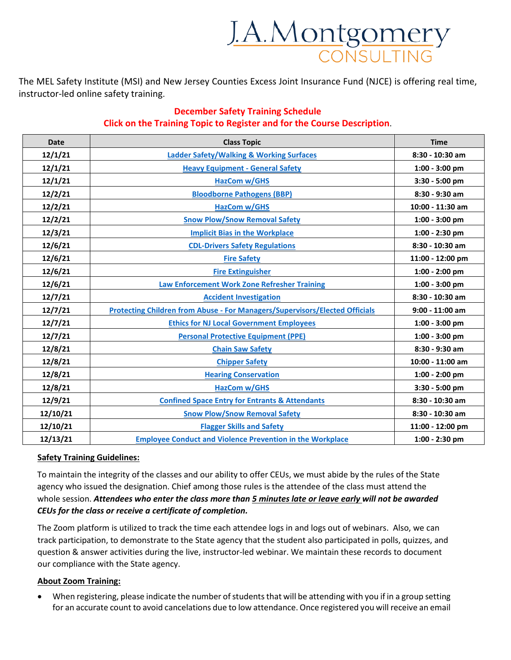

The MEL Safety Institute (MSI) and New Jersey Counties Excess Joint Insurance Fund (NJCE) is offering real time, instructor-led online safety training.

## **December Safety Training Schedule Click on the Training Topic to Register and for the Course Description**.

| <b>Date</b> | <b>Class Topic</b>                                                          | <b>Time</b>       |
|-------------|-----------------------------------------------------------------------------|-------------------|
| 12/1/21     | <b>Ladder Safety/Walking &amp; Working Surfaces</b>                         | 8:30 - 10:30 am   |
| 12/1/21     | <b>Heavy Equipment - General Safety</b>                                     | 1:00 - 3:00 pm    |
| 12/1/21     | <b>HazCom w/GHS</b>                                                         | 3:30 - 5:00 pm    |
| 12/2/21     | <b>Bloodborne Pathogens (BBP)</b>                                           | $8:30 - 9:30$ am  |
| 12/2/21     | HazCom w/GHS                                                                | 10:00 - 11:30 am  |
| 12/2/21     | <b>Snow Plow/Snow Removal Safety</b>                                        | $1:00 - 3:00$ pm  |
| 12/3/21     | <b>Implicit Bias in the Workplace</b>                                       | 1:00 - 2:30 pm    |
| 12/6/21     | <b>CDL-Drivers Safety Regulations</b>                                       | 8:30 - 10:30 am   |
| 12/6/21     | <b>Fire Safety</b>                                                          | 11:00 - 12:00 pm  |
| 12/6/21     | <b>Fire Extinguisher</b>                                                    | 1:00 - 2:00 pm    |
| 12/6/21     | <b>Law Enforcement Work Zone Refresher Training</b>                         | 1:00 - 3:00 pm    |
| 12/7/21     | <b>Accident Investigation</b>                                               | 8:30 - 10:30 am   |
| 12/7/21     | Protecting Children from Abuse - For Managers/Supervisors/Elected Officials | $9:00 - 11:00$ am |
| 12/7/21     | <b>Ethics for NJ Local Government Employees</b>                             | $1:00 - 3:00$ pm  |
| 12/7/21     | <b>Personal Protective Equipment (PPE)</b>                                  | 1:00 - 3:00 pm    |
| 12/8/21     | <b>Chain Saw Safety</b>                                                     | 8:30 - 9:30 am    |
| 12/8/21     | <b>Chipper Safety</b>                                                       | 10:00 - 11:00 am  |
| 12/8/21     | <b>Hearing Conservation</b>                                                 | 1:00 - 2:00 pm    |
| 12/8/21     | <b>HazCom w/GHS</b>                                                         | 3:30 - 5:00 pm    |
| 12/9/21     | <b>Confined Space Entry for Entrants &amp; Attendants</b>                   | $8:30 - 10:30$ am |
| 12/10/21    | <b>Snow Plow/Snow Removal Safety</b>                                        | 8:30 - 10:30 am   |
| 12/10/21    | <b>Flagger Skills and Safety</b>                                            | 11:00 - 12:00 pm  |
| 12/13/21    | <b>Employee Conduct and Violence Prevention in the Workplace</b>            | 1:00 - 2:30 pm    |

## **Safety Training Guidelines:**

To maintain the integrity of the classes and our ability to offer CEUs, we must abide by the rules of the State agency who issued the designation. Chief among those rules is the attendee of the class must attend the whole session. *Attendees who enter the class more than 5 minutes late or leave early will not be awarded CEUs for the class or receive a certificate of completion.*

The Zoom platform is utilized to track the time each attendee logs in and logs out of webinars. Also, we can track participation, to demonstrate to the State agency that the student also participated in polls, quizzes, and question & answer activities during the live, instructor-led webinar. We maintain these records to document our compliance with the State agency.

## **About Zoom Training:**

• When registering, please indicate the number of students that will be attending with you if in a group setting for an accurate count to avoid cancelations due to low attendance. Once registered you will receive an email